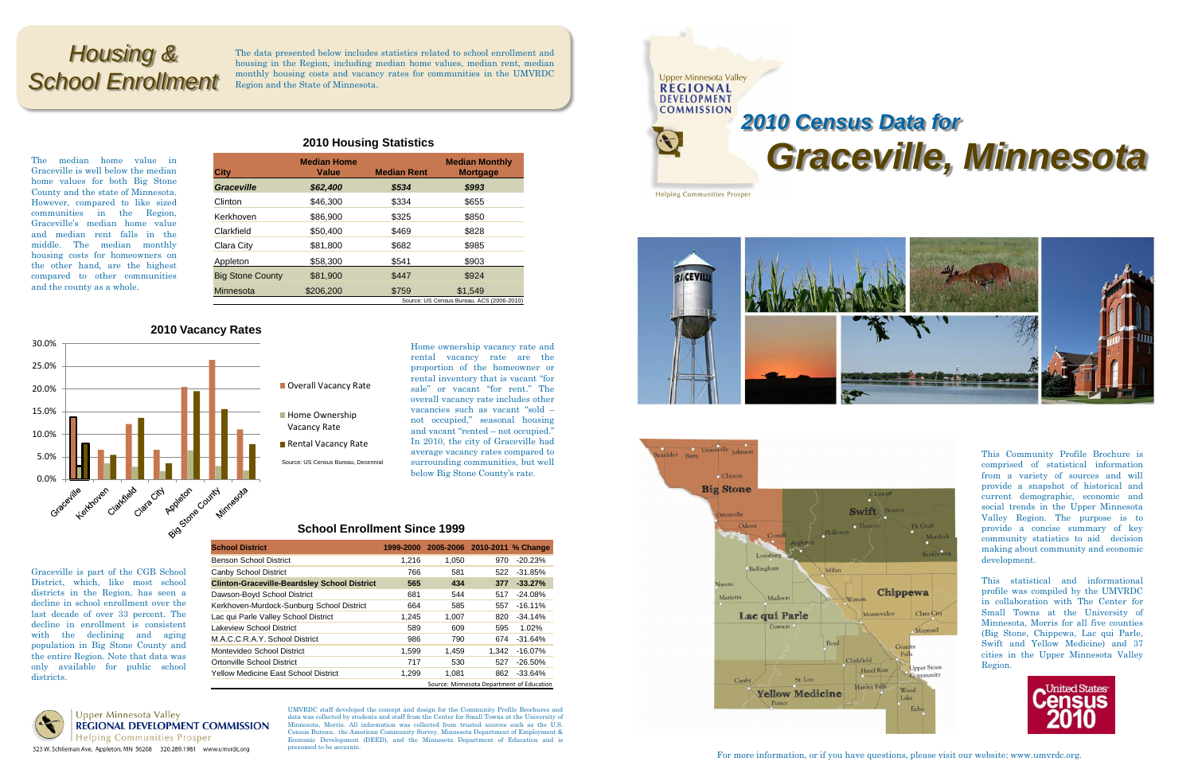The median home value in Graceville is well below the median home values for both Big Stone County and the state of Minnesota. However, compared to like sized communities in the Region, Graceville's median home value and median rent falls in the middle. The median monthly housing costs for homeowners on the other hand, are the highest compared to other communities and the county as a whole.

**2010 Housing Statistics**

### **2010 Vacancy Rates**

- **Home Ownership**
- Vacancy Rate
- Rental Vacancy Rate
- Source: US Census Bureau, Decennial

Home ownership vacancy rate and rental vacancy rate are the proportion of the homeowner or rental inventory that is vacant "for sale" or vacant "for rent." The overall vacancy rate includes other vacancies such as vacant "sold – not occupied," seasonal housing and vacant "rented – not occupied." In 2010, the city of Graceville had average vacancy rates compared to surrounding communities, but well below Big Stone County's rate.

| <b>City</b>             | <b>Median Home</b><br>Value               | <b>Median Rent</b> | <b>Median Monthly</b><br><b>Mortgage</b> |  |  |
|-------------------------|-------------------------------------------|--------------------|------------------------------------------|--|--|
| <b>Graceville</b>       | \$62,400                                  | \$534              | \$993                                    |  |  |
| Clinton                 | \$46,300                                  | \$334              | \$655                                    |  |  |
| Kerkhoven               | \$86,900                                  | \$325              | \$850                                    |  |  |
| Clarkfield              | \$50,400                                  | \$469              | \$828                                    |  |  |
| Clara City              | \$81.800                                  | \$682              | \$985                                    |  |  |
| Appleton                | \$58,300                                  | \$541              | \$903                                    |  |  |
| <b>Big Stone County</b> | \$81,900                                  | \$447              | \$924                                    |  |  |
| Minnesota               | \$206,200                                 | \$759              | \$1.549                                  |  |  |
|                         | Source: US Census Bureau, ACS (2006-2010) |                    |                                          |  |  |



### Overall Vacancy Rate

Graceville is part of the CGB School District, which, like most school districts in the Region, has seen a decline in school enrollment over the last decade of over 33 percent. The decline in enrollment is consistent with the declining and aging population in Big Stone County and the entire Region. Note that data was only available for public school

districts.

UMVRDC staff developed the concept and design for the Community Profile Brochures and data was collected by students and staff from the Center for Small Towns at the University of Minnesota, Morris. All information was collected from trusted sources such as the U.S. Census Bureau, the American Community Survey, Minnesota Department of Employment & Economic Development (DEED), and the Minnesota Department of Education and is presumed to be accurate.

# *Graceville, Minnesota*







For more information, or if you have questions, please visit our website: www.umvrdc.org.

This Community Profile Brochure is comprised of statistical information from a variety of sources and will provide a snapshot of historical and current demographic, economic and social trends in the Upper Minnesota Valley Region. The purpose is to provide a concise summary of key community statistics to aid decision making about community and economic development.

This statistical and informational profile was compiled by the UMVRDC in collaboration with The Center for Small Towns at the University of Minnesota, Morris for all five counties (Big Stone, Chippewa, Lac qui Parle, Swift and Yellow Medicine) and 37 cities in the Upper Minnesota Valley Region.



## *Housing & School Enrollment*

The data presented below includes statistics related to school enrollment and housing in the Region, including median home values, median rent, median monthly housing costs and vacancy rates for communities in the UMVRDC Region and the State of Minnesota.

## **School Enrollment Since 1999**

| <b>School District</b>                              | 1999-2000 |       | 2005-2006 2010-2011 % Change |            |  |
|-----------------------------------------------------|-----------|-------|------------------------------|------------|--|
| <b>Benson School District</b>                       | 1.216     | 1.050 | 970                          | $-20.23%$  |  |
| Canby School District                               | 766       | 581   | 522.                         | $-31.85%$  |  |
| <b>Clinton-Graceville-Beardsley School District</b> | 565       | 434   | 377                          | $-33.27%$  |  |
| Dawson-Boyd School District                         | 681       | 544   | 517                          | $-24.08%$  |  |
| Kerkhoven-Murdock-Sunburg School District           | 664       | 585   | 557                          | $-16.11\%$ |  |
| Lac qui Parle Valley School District                | 1,245     | 1,007 | 820                          | $-34.14%$  |  |
| Lakeview School District                            | 589       | 609   | 595                          | 1.02%      |  |
| M.A.C.C.R.A.Y. School District                      | 986       | 790   | 674                          | $-31.64%$  |  |
| Montevideo School District                          | 1,599     | 1.459 | 1.342                        | -16.07%    |  |
| Ortonville School District                          | 717       | 530   | 527                          | $-26.50\%$ |  |
| <b>Yellow Medicine East School District</b>         | 1,299     | 1,081 | 862                          | $-33.64%$  |  |
| Source: Minnesota Department of Education           |           |       |                              |            |  |